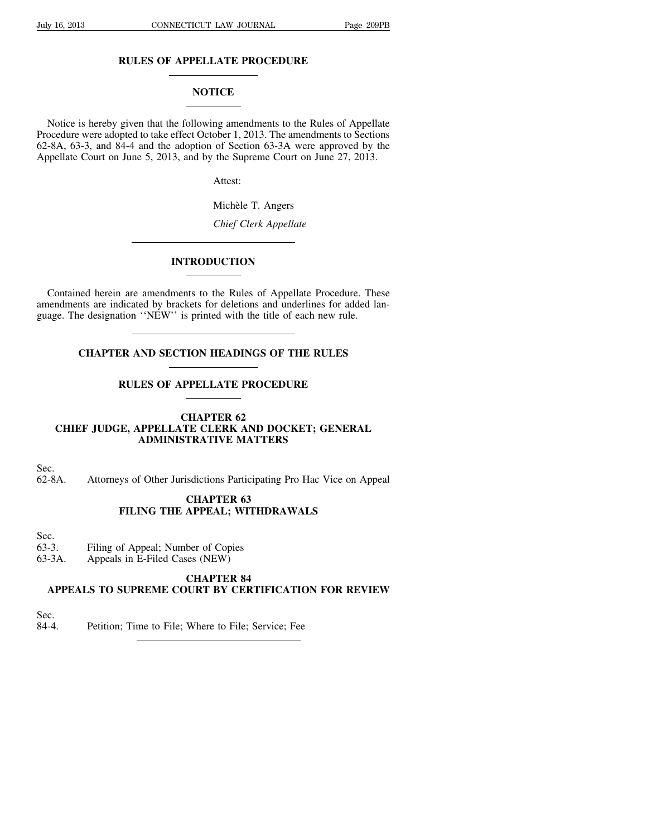## **RULES OF APPELLATE PROCEDURE**

## **NOTICE**

Notice is hereby given that the following amendments to the Rules of Appellate Procedure were adopted to take effect October 1, 2013. The amendments to Sections 62-8A, 63-3, and 84-4 and the adoption of Section 63-3A were approved by the Appellate Court on June 5, 2013, and by the Supreme Court on June 27, 2013.

Attest:

Michèle T. Angers

*Chief Clerk Appellate*

## **INTRODUCTION**

Contained herein are amendments to the Rules of Appellate Procedure. These amendments are indicated by brackets for deletions and underlines for added language. The designation ''NEW'' is printed with the title of each new rule.

## **CHAPTER AND SECTION HEADINGS OF THE RULES**

## **RULES OF APPELLATE PROCEDURE**

## **CHAPTER 62 CHIEF JUDGE, APPELLATE CLERK AND DOCKET; GENERAL ADMINISTRATIVE MATTERS**

Sec.

62-8A. Attorneys of Other Jurisdictions Participating Pro Hac Vice on Appeal

## **CHAPTER 63 FILING THE APPEAL; WITHDRAWALS**

Sec.<br>63-3.

- Filing of Appeal; Number of Copies
- 63-3A. Appeals in E-Filed Cases (NEW)

# **CHAPTER 84**

## **APPEALS TO SUPREME COURT BY CERTIFICATION FOR REVIEW**

Sec.

84-4. Petition; Time to File; Where to File; Service; Fee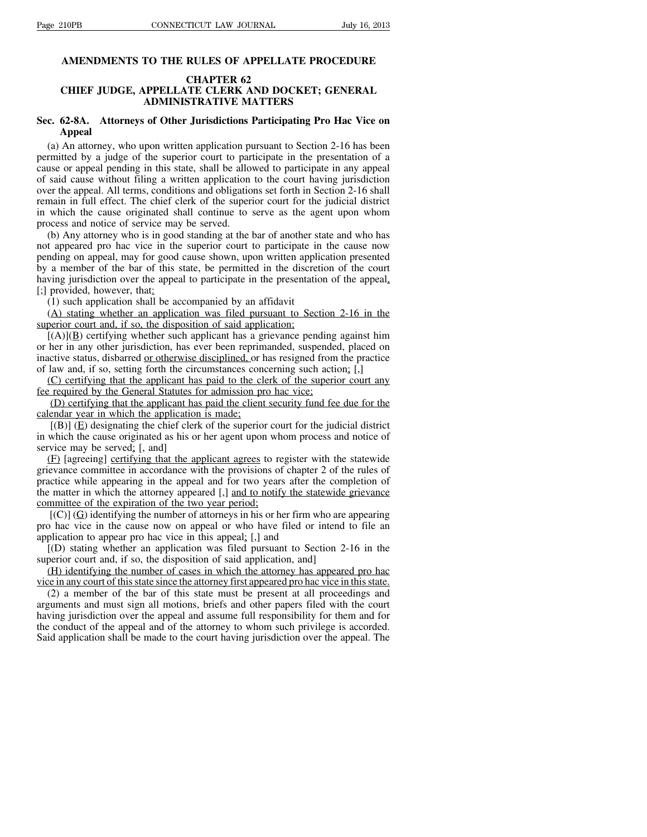#### **AMENDMENTS TO THE RULES OF APPELLATE PROCEDURE**

#### **CHAPTER 62**

### **CHIEF JUDGE, APPELLATE CLERK AND DOCKET; GENERAL ADMINISTRATIVE MATTERS**

## **Sec. 62-8A. Attorneys of Other Jurisdictions Participating Pro Hac Vice on Appeal**

(a) An attorney, who upon written application pursuant to Section 2-16 has been permitted by a judge of the superior court to participate in the presentation of a cause or appeal pending in this state, shall be allowed to participate in any appeal of said cause without filing a written application to the court having jurisdiction over the appeal. All terms, conditions and obligations set forth in Section 2-16 shall remain in full effect. The chief clerk of the superior court for the judicial district in which the cause originated shall continue to serve as the agent upon whom process and notice of service may be served.

(b) Any attorney who is in good standing at the bar of another state and who has not appeared pro hac vice in the superior court to participate in the cause now pending on appeal, may for good cause shown, upon written application presented by a member of the bar of this state, be permitted in the discretion of the court having jurisdiction over the appeal to participate in the presentation of the appeal, [;] provided, however, that:

(1) such application shall be accompanied by an affidavit

(A) stating whether an application was filed pursuant to Section 2-16 in the superior court and, if so, the disposition of said application;

 $[(A)](B)$  certifying whether such applicant has a grievance pending against him or her in any other jurisdiction, has ever been reprimanded, suspended, placed on inactive status, disbarred or otherwise disciplined, or has resigned from the practice of law and, if so, setting forth the circumstances concerning such action; [,]

(C) certifying that the applicant has paid to the clerk of the superior court any fee required by the General Statutes for admission pro hac vice;

(D) certifying that the applicant has paid the client security fund fee due for the calendar year in which the application is made;

 $[(B)] (E)$  designating the chief clerk of the superior court for the judicial district in which the cause originated as his or her agent upon whom process and notice of service may be served; [, and]

(F) [agreeing] certifying that the applicant agrees to register with the statewide grievance committee in accordance with the provisions of chapter 2 of the rules of practice while appearing in the appeal and for two years after the completion of the matter in which the attorney appeared [,] and to notify the statewide grievance committee of the expiration of the two year period;

 $[(C)]$  (G) identifying the number of attorneys in his or her firm who are appearing pro hac vice in the cause now on appeal or who have filed or intend to file an application to appear pro hac vice in this appeal; [,] and

[(D) stating whether an application was filed pursuant to Section 2-16 in the superior court and, if so, the disposition of said application, and

(H) identifying the number of cases in which the attorney has appeared pro hac vice in any court of thisstate since the attorney first appeared pro hac vice in thisstate.

(2) a member of the bar of this state must be present at all proceedings and arguments and must sign all motions, briefs and other papers filed with the court having jurisdiction over the appeal and assume full responsibility for them and for the conduct of the appeal and of the attorney to whom such privilege is accorded. Said application shall be made to the court having jurisdiction over the appeal. The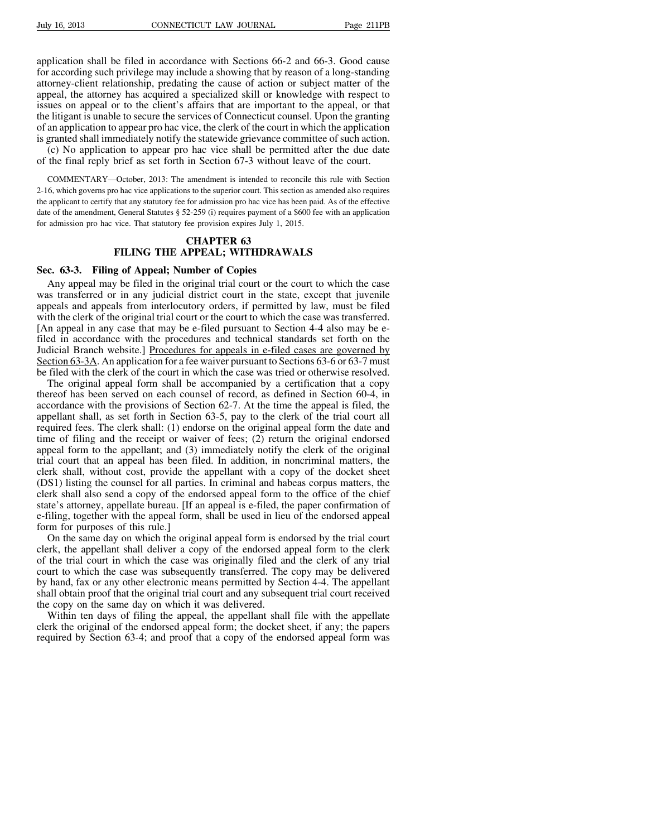application shall be filed in accordance with Sections 66-2 and 66-3. Good cause for according such privilege may include a showing that by reason of a long-standing attorney-client relationship, predating the cause of action or subject matter of the appeal, the attorney has acquired a specialized skill or knowledge with respect to issues on appeal or to the client's affairs that are important to the appeal, or that the litigant is unable to secure the services of Connecticut counsel. Upon the granting of an application to appear pro hac vice, the clerk of the court in which the application is granted shall immediately notify the statewide grievance committee of such action.

(c) No application to appear pro hac vice shall be permitted after the due date of the final reply brief as set forth in Section 67-3 without leave of the court.

COMMENTARY—October, 2013: The amendment is intended to reconcile this rule with Section 2-16, which governs pro hac vice applications to the superior court. This section as amended also requires the applicant to certify that any statutory fee for admission pro hac vice has been paid. As of the effective date of the amendment, General Statutes § 52-259 (i) requires payment of a \$600 fee with an application for admission pro hac vice. That statutory fee provision expires July 1, 2015.

## **CHAPTER 63 FILING THE APPEAL; WITHDRAWALS**

#### **Sec. 63-3. Filing of Appeal; Number of Copies**

Any appeal may be filed in the original trial court or the court to which the case was transferred or in any judicial district court in the state, except that juvenile appeals and appeals from interlocutory orders, if permitted by law, must be filed with the clerk of the original trial court or the court to which the case was transferred. [An appeal in any case that may be e-filed pursuant to Section 4-4 also may be efiled in accordance with the procedures and technical standards set forth on the Judicial Branch website.] Procedures for appeals in e-filed cases are governed by Section 63-3A. An application for a fee waiver pursuant to Sections 63-6 or 63-7 must be filed with the clerk of the court in which the case was tried or otherwise resolved.

The original appeal form shall be accompanied by a certification that a copy thereof has been served on each counsel of record, as defined in Section 60-4, in accordance with the provisions of Section 62-7. At the time the appeal is filed, the appellant shall, as set forth in Section 63-5, pay to the clerk of the trial court all required fees. The clerk shall: (1) endorse on the original appeal form the date and time of filing and the receipt or waiver of fees; (2) return the original endorsed appeal form to the appellant; and (3) immediately notify the clerk of the original trial court that an appeal has been filed. In addition, in noncriminal matters, the clerk shall, without cost, provide the appellant with a copy of the docket sheet (DS1) listing the counsel for all parties. In criminal and habeas corpus matters, the clerk shall also send a copy of the endorsed appeal form to the office of the chief state's attorney, appellate bureau. [If an appeal is e-filed, the paper confirmation of e-filing, together with the appeal form, shall be used in lieu of the endorsed appeal form for purposes of this rule.]

On the same day on which the original appeal form is endorsed by the trial court clerk, the appellant shall deliver a copy of the endorsed appeal form to the clerk of the trial court in which the case was originally filed and the clerk of any trial court to which the case was subsequently transferred. The copy may be delivered by hand, fax or any other electronic means permitted by Section 4-4. The appellant shall obtain proof that the original trial court and any subsequent trial court received the copy on the same day on which it was delivered.

Within ten days of filing the appeal, the appellant shall file with the appellate clerk the original of the endorsed appeal form; the docket sheet, if any; the papers required by Section 63-4; and proof that a copy of the endorsed appeal form was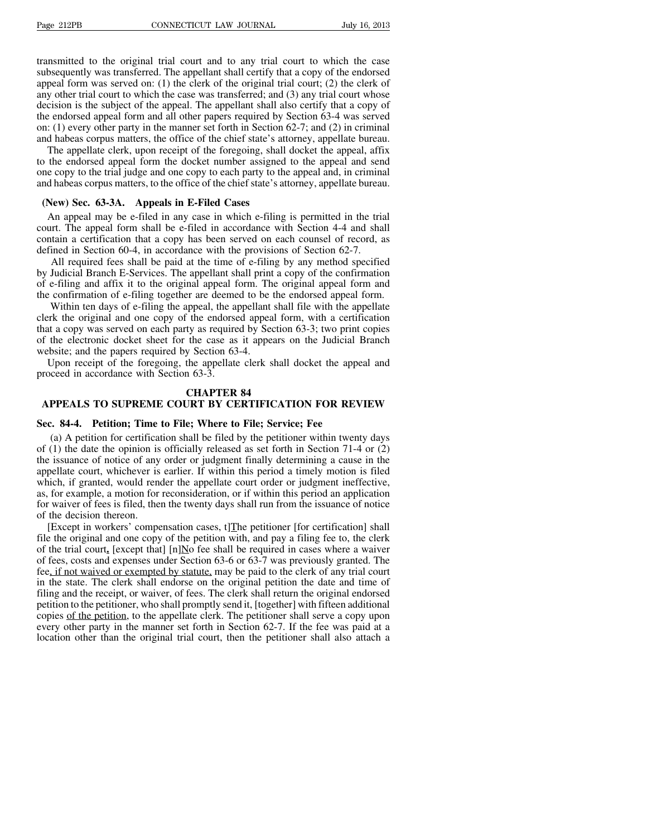transmitted to the original trial court and to any trial court to which the case subsequently was transferred. The appellant shall certify that a copy of the endorsed appeal form was served on: (1) the clerk of the original trial court; (2) the clerk of any other trial court to which the case was transferred; and (3) any trial court whose decision is the subject of the appeal. The appellant shall also certify that a copy of the endorsed appeal form and all other papers required by Section 63-4 was served on: (1) every other party in the manner set forth in Section 62-7; and (2) in criminal and habeas corpus matters, the office of the chief state's attorney, appellate bureau.

The appellate clerk, upon receipt of the foregoing, shall docket the appeal, affix to the endorsed appeal form the docket number assigned to the appeal and send one copy to the trial judge and one copy to each party to the appeal and, in criminal and habeas corpus matters, to the office of the chief state's attorney, appellate bureau.

#### **(New) Sec. 63-3A. Appeals in E-Filed Cases**

An appeal may be e-filed in any case in which e-filing is permitted in the trial court. The appeal form shall be e-filed in accordance with Section 4-4 and shall contain a certification that a copy has been served on each counsel of record, as defined in Section 60-4, in accordance with the provisions of Section 62-7.

All required fees shall be paid at the time of e-filing by any method specified by Judicial Branch E-Services. The appellant shall print a copy of the confirmation of e-filing and affix it to the original appeal form. The original appeal form and the confirmation of e-filing together are deemed to be the endorsed appeal form.

Within ten days of e-filing the appeal, the appellant shall file with the appellate clerk the original and one copy of the endorsed appeal form, with a certification that a copy was served on each party as required by Section 63-3; two print copies of the electronic docket sheet for the case as it appears on the Judicial Branch website; and the papers required by Section 63-4.

Upon receipt of the foregoing, the appellate clerk shall docket the appeal and proceed in accordance with Section 63-3.

#### **CHAPTER 84**

## **APPEALS TO SUPREME COURT BY CERTIFICATION FOR REVIEW**

#### **Sec. 84-4. Petition; Time to File; Where to File; Service; Fee**

(a) A petition for certification shall be filed by the petitioner within twenty days of (1) the date the opinion is officially released as set forth in Section 71-4 or (2) the issuance of notice of any order or judgment finally determining a cause in the appellate court, whichever is earlier. If within this period a timely motion is filed which, if granted, would render the appellate court order or judgment ineffective, as, for example, a motion for reconsideration, or if within this period an application for waiver of fees is filed, then the twenty days shall run from the issuance of notice of the decision thereon.

[Except in workers' compensation cases, t]The petitioner [for certification] shall file the original and one copy of the petition with, and pay a filing fee to, the clerk of the trial court,  $[except that] [n] No fee shall be required in cases where a wavier$ of fees, costs and expenses under Section 63-6 or 63-7 was previously granted. The fee, if not waived or exempted by statute, may be paid to the clerk of any trial court in the state. The clerk shall endorse on the original petition the date and time of filing and the receipt, or waiver, of fees. The clerk shall return the original endorsed petition to the petitioner, who shall promptly send it, [together] with fifteen additional copies of the petition, to the appellate clerk. The petitioner shall serve a copy upon every other party in the manner set forth in Section 62-7. If the fee was paid at a location other than the original trial court, then the petitioner shall also attach a